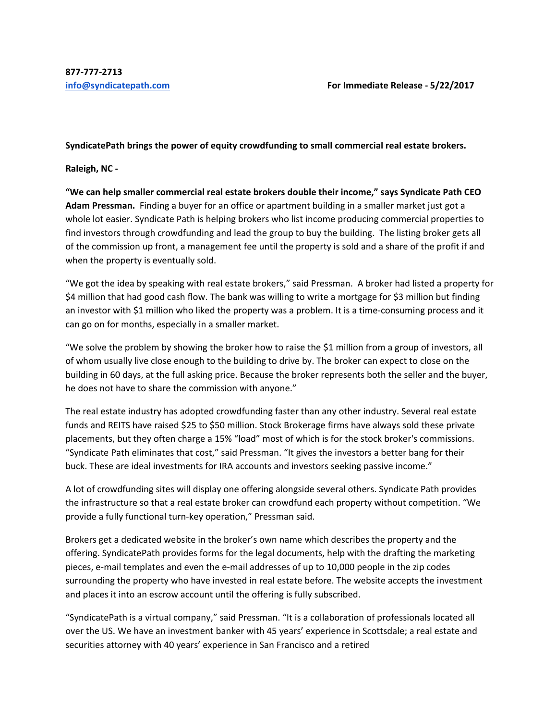## **SyndicatePath brings the power of equity crowdfunding to small commercial real estate brokers.**

**Raleigh, NC ‐** 

**"We can help smaller commercial real estate brokers double their income," says Syndicate Path CEO Adam Pressman.** Finding a buyer for an office or apartment building in a smaller market just got a whole lot easier. Syndicate Path is helping brokers who list income producing commercial properties to find investors through crowdfunding and lead the group to buy the building. The listing broker gets all of the commission up front, a management fee until the property is sold and a share of the profit if and when the property is eventually sold.

"We got the idea by speaking with real estate brokers," said Pressman. A broker had listed a property for \$4 million that had good cash flow. The bank was willing to write a mortgage for \$3 million but finding an investor with \$1 million who liked the property was a problem. It is a time-consuming process and it can go on for months, especially in a smaller market.

"We solve the problem by showing the broker how to raise the \$1 million from a group of investors, all of whom usually live close enough to the building to drive by. The broker can expect to close on the building in 60 days, at the full asking price. Because the broker represents both the seller and the buyer, he does not have to share the commission with anyone."

The real estate industry has adopted crowdfunding faster than any other industry. Several real estate funds and REITS have raised \$25 to \$50 million. Stock Brokerage firms have always sold these private placements, but they often charge a 15% "load" most of which is for the stock broker's commissions. "Syndicate Path eliminates that cost," said Pressman. "It gives the investors a better bang for their buck. These are ideal investments for IRA accounts and investors seeking passive income."

A lot of crowdfunding sites will display one offering alongside several others. Syndicate Path provides the infrastructure so that a real estate broker can crowdfund each property without competition. "We provide a fully functional turn‐key operation," Pressman said.

Brokers get a dedicated website in the broker's own name which describes the property and the offering. SyndicatePath provides forms for the legal documents, help with the drafting the marketing pieces, e-mail templates and even the e-mail addresses of up to 10,000 people in the zip codes surrounding the property who have invested in real estate before. The website accepts the investment and places it into an escrow account until the offering is fully subscribed.

"SyndicatePath is a virtual company," said Pressman. "It is a collaboration of professionals located all over the US. We have an investment banker with 45 years' experience in Scottsdale; a real estate and securities attorney with 40 years' experience in San Francisco and a retired